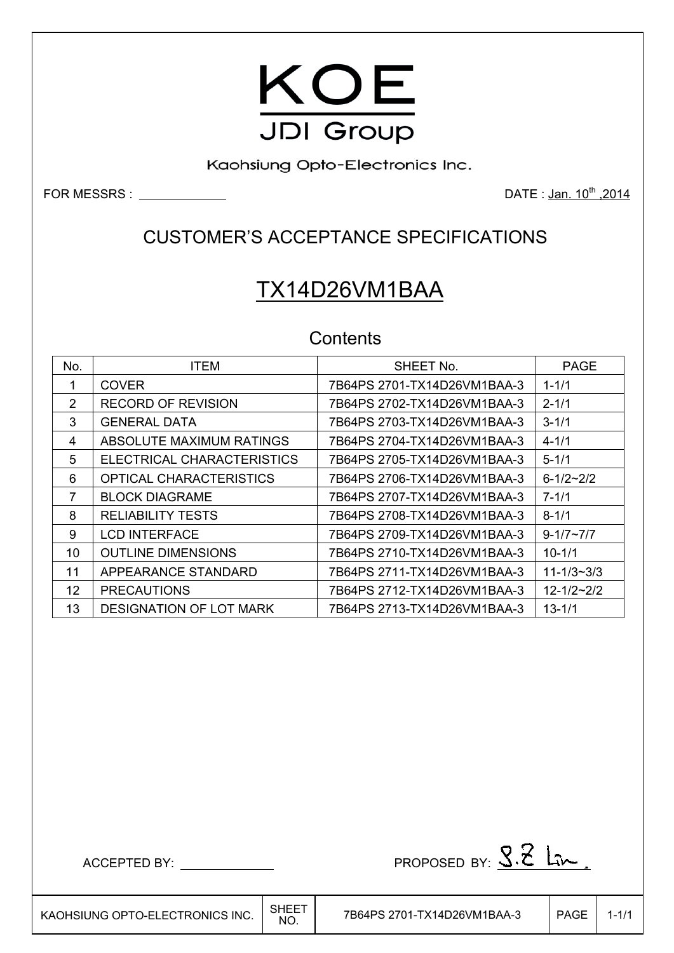

Kaohsiung Opto-Electronics Inc.

FOR MESSRS : DATE : Jan. 10th ,2014

## CUSTOMER'S ACCEPTANCE SPECIFICATIONS

# TX14D26VM1BAA

### **Contents**

| No. | <b>ITEM</b>                    | SHEET No.                   | <b>PAGE</b>        |
|-----|--------------------------------|-----------------------------|--------------------|
|     | <b>COVER</b>                   | 7B64PS 2701-TX14D26VM1BAA-3 | $1 - 1/1$          |
| 2   | <b>RECORD OF REVISION</b>      | 7B64PS 2702-TX14D26VM1BAA-3 | $2 - 1/1$          |
| 3   | <b>GENERAL DATA</b>            | 7B64PS 2703-TX14D26VM1BAA-3 | $3 - 1/1$          |
| 4   | ABSOLUTE MAXIMUM RATINGS       | 7B64PS 2704-TX14D26VM1BAA-3 | $4 - 1/1$          |
| 5   | ELECTRICAL CHARACTERISTICS     | 7B64PS 2705-TX14D26VM1BAA-3 | $5 - 1/1$          |
| 6   | <b>OPTICAL CHARACTERISTICS</b> | 7B64PS 2706-TX14D26VM1BAA-3 | $6 - 1/2 - 2/2$    |
| 7   | <b>BLOCK DIAGRAME</b>          |                             | $7 - 1/1$          |
| 8   | <b>RELIABILITY TESTS</b>       | 7B64PS 2708-TX14D26VM1BAA-3 | $8 - 1/1$          |
| 9   | <b>LCD INTERFACE</b>           | 7B64PS 2709-TX14D26VM1BAA-3 | $9 - 1/7 \sim 7/7$ |
| 10  | <b>OUTLINE DIMENSIONS</b>      |                             | $10 - 1/1$         |
| 11  | APPEARANCE STANDARD            | 7B64PS 2711-TX14D26VM1BAA-3 | $11 - 1/3 - 3/3$   |
| 12  | <b>PRECAUTIONS</b>             | 7B64PS 2712-TX14D26VM1BAA-3 | $12 - 1/2 - 2/2$   |
| 13  | <b>DESIGNATION OF LOT MARK</b> | 7B64PS 2713-TX14D26VM1BAA-3 | $13 - 1/1$         |

 $\text{ACCEPTED BY: } \underline{\hspace{1cm}}$ 

٦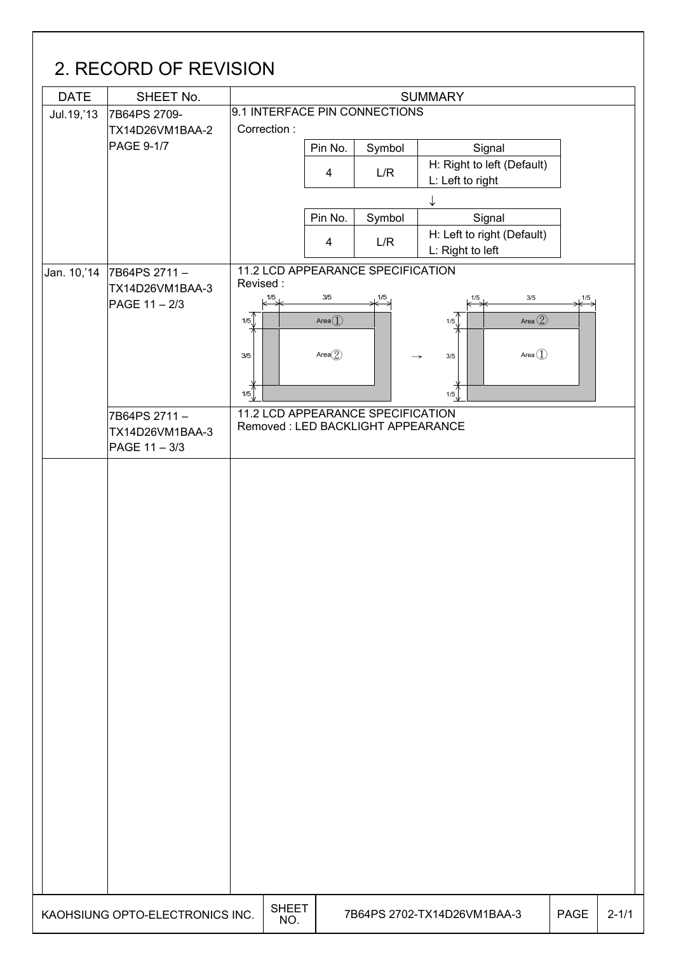## 2. RECORD OF REVISION DATE SHEET No. 1 9.1 INTERFACE PIN CONNECTIONS Jul.19,'13 7B64PS 2709- Correction : TX14D26VM1BAA-2 PAGE 9-1/7 Pin No. Symbol Signal  $\begin{array}{c|c|c|c|c} \hline \end{array}$  L/R  $\begin{array}{c|c|c} \end{array}$  H: Right to left (Default) L: Left to right  $\downarrow$ Pin No. Symbol | Signal 4 L/R H: Left to right (Default) L: Right to left 11.2 LCD APPEARANCE SPECIFICATION Jan. 10,'14 7B64PS 2711 – Revised : TX14D26VM1BAA-3  $3/5$  $1/5$  $1/F$ 1/5 3/5 1/5 PAGE 11 – 2/3  $\textcircled{1}$   $\textcircled{1}$   $\textcircled{1}$   $\textcircled{1}$   $\textcircled{1}$   $\textcircled{1}$   $\textcircled{1}$   $\textcircled{1}$   $\textcircled{1}$   $\textcircled{1}$   $\textcircled{1}$   $\textcircled{1}$   $\textcircled{1}$   $\textcircled{1}$   $\textcircled{1}$   $\textcircled{1}$   $\textcircled{1}$   $\textcircled{1}$   $\textcircled{1}$   $\textcircled{1}$   $\textcircled{1}$   $\textcircled{1}$   $1/5$ 1/5 Area $\circled{2}$  $3/5$ 3/5 Area $\textcircled{\small{1}}$  $1/5$ 1/5  $\overline{a}$ 7B64PS 2711 – 11.2 LCD APPEARANCE SPECIFICATION Removed : LED BACKLIGHT APPEARANCE TX14D26VM1BAA-3 PAGE 11 – 3/3 KAOHSIUNG OPTO-ELECTRONICS INC.  $\Big|\begin{array}{c} \text{SHEET} \ \text{NO} \end{array}\Big|$ 7B64PS 2702-TX14D26VM1BAA-3 | PAGE 2-1/1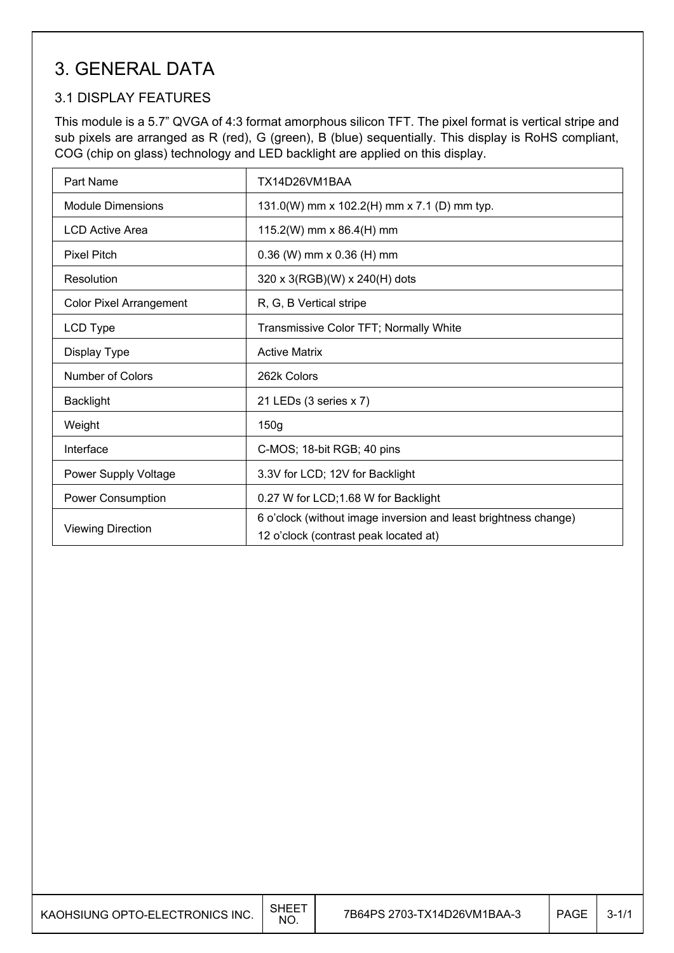## 3. GENERAL DATA

### 3.1 DISPLAY FEATURES

 $\overline{\phantom{a}}$ 

This module is a 5.7" QVGA of 4:3 format amorphous silicon TFT. The pixel format is vertical stripe and sub pixels are arranged as R (red), G (green), B (blue) sequentially. This display is RoHS compliant, COG (chip on glass) technology and LED backlight are applied on this display.

| Part Name                      | TX14D26VM1BAA                                                                                            |
|--------------------------------|----------------------------------------------------------------------------------------------------------|
| <b>Module Dimensions</b>       | 131.0(W) mm x 102.2(H) mm x 7.1 (D) mm typ.                                                              |
| <b>LCD Active Area</b>         | 115.2(W) mm x 86.4(H) mm                                                                                 |
| <b>Pixel Pitch</b>             | $0.36$ (W) mm x $0.36$ (H) mm                                                                            |
| Resolution                     | 320 x 3(RGB)(W) x 240(H) dots                                                                            |
| <b>Color Pixel Arrangement</b> | R, G, B Vertical stripe                                                                                  |
| LCD Type                       | Transmissive Color TFT; Normally White                                                                   |
| Display Type                   | <b>Active Matrix</b>                                                                                     |
| Number of Colors               | 262k Colors                                                                                              |
| <b>Backlight</b>               | 21 LEDs (3 series x 7)                                                                                   |
| Weight                         | 150g                                                                                                     |
| Interface                      | C-MOS; 18-bit RGB; 40 pins                                                                               |
| Power Supply Voltage           | 3.3V for LCD; 12V for Backlight                                                                          |
| <b>Power Consumption</b>       | 0.27 W for LCD;1.68 W for Backlight                                                                      |
| <b>Viewing Direction</b>       | 6 o'clock (without image inversion and least brightness change)<br>12 o'clock (contrast peak located at) |

| KAOHSIUNG OPTO-ELECTRONICS INC. | . SHEE™<br>NO. | 7B64PS 2703-TX14D26VM1BAA-3 | PAGE | $3 - 1/1$ |
|---------------------------------|----------------|-----------------------------|------|-----------|
|---------------------------------|----------------|-----------------------------|------|-----------|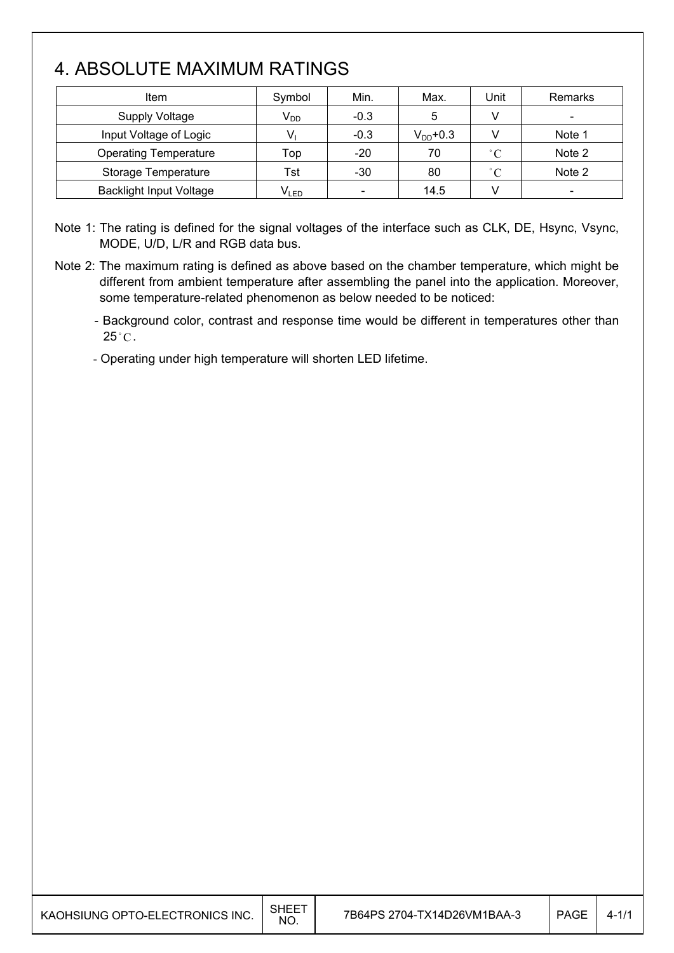## 4. ABSOLUTE MAXIMUM RATINGS

 $\mathsf{I}$ 

| Item                           | Symbol    | Min.   | Max.          | Unit         | Remarks                  |
|--------------------------------|-----------|--------|---------------|--------------|--------------------------|
| <b>Supply Voltage</b>          | $V_{DD}$  | $-0.3$ | 5             | $\vee$       | $\overline{\phantom{a}}$ |
| Input Voltage of Logic         |           | $-0.3$ | $V_{DD}$ +0.3 |              | Note 1                   |
| <b>Operating Temperature</b>   | Top       | $-20$  | 70            | $^{\circ}$ C | Note 2                   |
| Storage Temperature            | Tst       | $-30$  | 80            | $^{\circ}$ C | Note 2                   |
| <b>Backlight Input Voltage</b> | $V_{LED}$ |        | 14.5          |              |                          |

Note 1: The rating is defined for the signal voltages of the interface such as CLK, DE, Hsync, Vsync, MODE, U/D, L/R and RGB data bus.

Note 2: The maximum rating is defined as above based on the chamber temperature, which might be different from ambient temperature after assembling the panel into the application. Moreover, some temperature-related phenomenon as below needed to be noticed:

- Background color, contrast and response time would be different in temperatures other than  $25^{\circ}$ C.

- Operating under high temperature will shorten LED lifetime.

|  | KAOHSIUNG OPTO-ELECTRONICS INC. $\Big \begin{array}{cc} \text{SHEET} \ \text{NO} \end{array}\Big $ |  |
|--|----------------------------------------------------------------------------------------------------|--|
|--|----------------------------------------------------------------------------------------------------|--|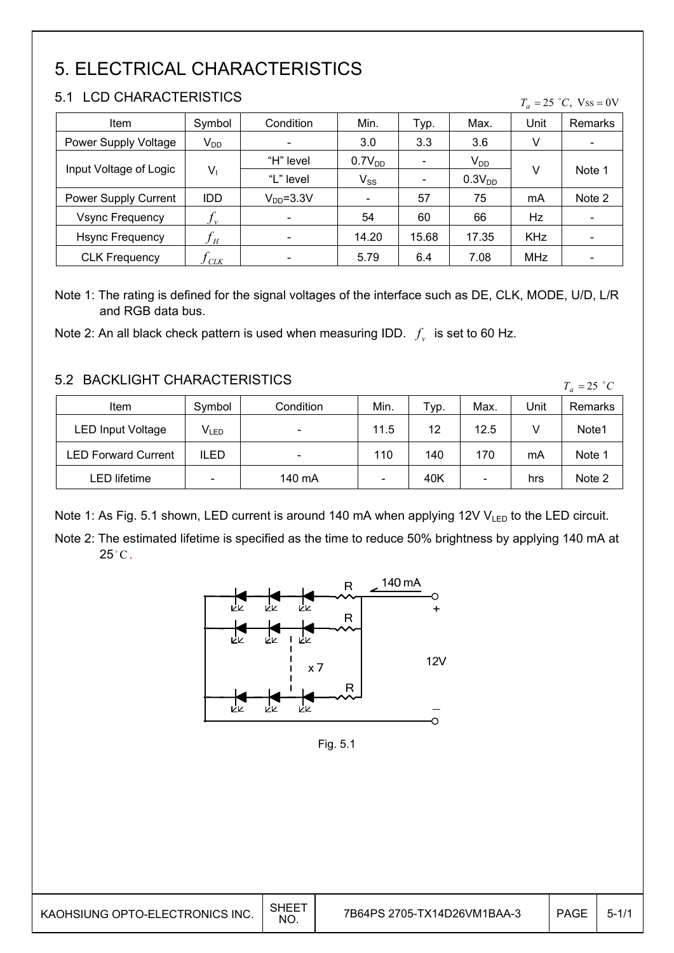# 5. ELECTRICAL CHARACTERISTICS

### 5.1 LCD CHARACTERISTICS

| Item                   | Symbol                     | Condition                | Min.               | Typ.  | Max.               | Unit       | Remarks |
|------------------------|----------------------------|--------------------------|--------------------|-------|--------------------|------------|---------|
| Power Supply Voltage   | $V_{DD}$                   |                          | 3.0                | 3.3   | 3.6                | V          |         |
| Input Voltage of Logic |                            | "H" level                | 0.7V <sub>DD</sub> |       | $V_{DD}$           |            |         |
|                        | $V_1$                      | "L" level                | $V_{SS}$           |       | 0.3V <sub>DD</sub> | V          | Note 1  |
| Power Supply Current   | <b>IDD</b>                 | $VDD=3.3V$               |                    | 57    | 75                 | mA         | Note 2  |
| <b>Vsync Frequency</b> | $J_{\nu}$                  |                          | 54                 | 60    | 66                 | Hz         |         |
| <b>Hsync Frequency</b> | $f_{\scriptscriptstyle H}$ | $\overline{\phantom{a}}$ | 14.20              | 15.68 | 17.35              | <b>KHz</b> |         |
| <b>CLK Frequency</b>   | ) clk                      |                          | 5.79               | 6.4   | 7.08               | <b>MHz</b> |         |

Note 1: The rating is defined for the signal voltages of the interface such as DE, CLK, MODE, U/D, L/R and RGB data bus.

Note 2: An all black check pattern is used when measuring IDD.  $f_v$  is set to 60 Hz.

### 5.2 BACKLIGHT CHARACTERISTICS

| 9.2 DAUNLIUM UMARAUTERISTIUS |                             |                          |      |      |                          |      | $T_a = 25$ °C |
|------------------------------|-----------------------------|--------------------------|------|------|--------------------------|------|---------------|
| Item                         | Symbol                      | Condition                | Min. | Typ. | Max.                     | Unit | Remarks       |
| <b>LED Input Voltage</b>     | $\mathsf{V}_{\mathsf{LED}}$ |                          | 11.5 | 12   | 12.5                     |      | Note1         |
| LED Forward Current          | ILED                        | $\overline{\phantom{0}}$ | 110  | 140  | 170                      | mA   | Note 1        |
| LED lifetime                 | -                           | 140 mA                   |      | 40K  | $\overline{\phantom{a}}$ | hrs  | Note 2        |

Note 1: As Fig. 5.1 shown, LED current is around 140 mA when applying 12V  $V_{LED}$  to the LED circuit.

Note 2: The estimated lifetime is specified as the time to reduce 50% brightness by applying 140 mA at  $25^{\circ}$ C.



Fig. 5.1

 $T_a = 25$  °C, Vss = 0V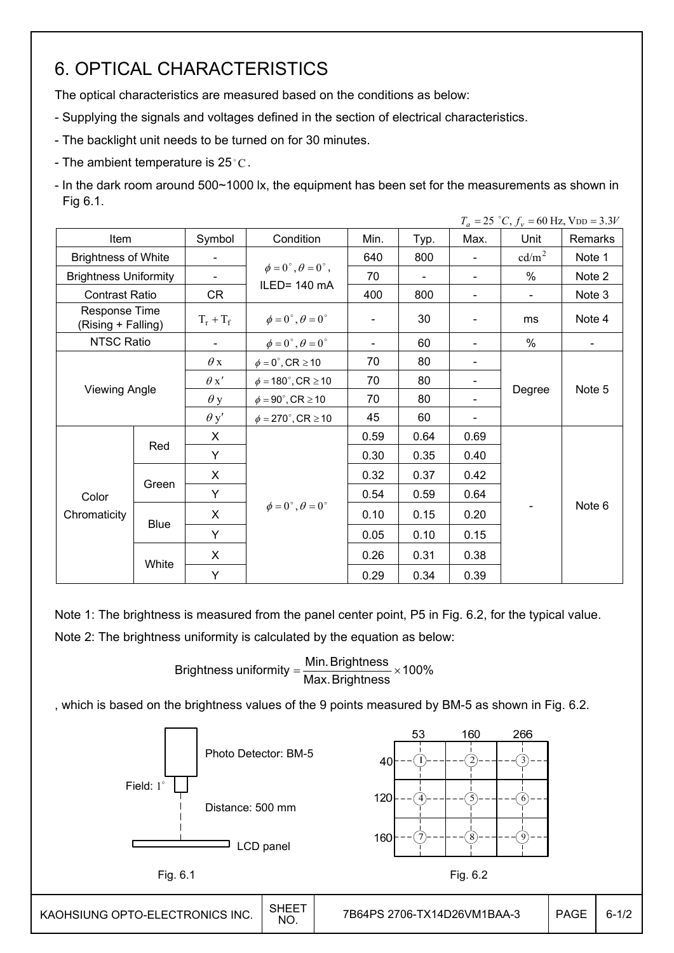## 6. OPTICAL CHARACTERISTICS

The optical characteristics are measured based on the conditions as below:

- Supplying the signals and voltages defined in the section of electrical characteristics.
- The backlight unit needs to be turned on for 30 minutes.
- The ambient temperature is  $25^{\circ}$ C.

- In the dark room around 500~1000 lx, the equipment has been set for the measurements as shown in Fig 6.1.

|                                     |             |                          |                                         |      |                |                              | $T_a = 25$ °C, $f_v = 60$ Hz, VDD = 3.3V |         |
|-------------------------------------|-------------|--------------------------|-----------------------------------------|------|----------------|------------------------------|------------------------------------------|---------|
| <b>Item</b>                         |             | Symbol                   | Condition                               | Min. | Typ.           | Max.                         | Unit                                     | Remarks |
| <b>Brightness of White</b>          |             | $\overline{\phantom{a}}$ |                                         | 640  | 800            | ÷,                           | cd/m <sup>2</sup>                        | Note 1  |
| <b>Brightness Uniformity</b>        |             | $\blacksquare$           | $\phi = 0^{\circ}, \theta = 0^{\circ},$ | 70   | $\blacksquare$ | $\blacksquare$               | $\%$                                     | Note 2  |
| <b>Contrast Ratio</b>               |             | <b>CR</b>                | ILED= 140 mA                            | 400  | 800            | $\overline{\phantom{a}}$     | $\blacksquare$                           | Note 3  |
| Response Time<br>(Rising + Falling) |             | $T_r + T_f$              | $\phi = 0^{\circ}, \theta = 0^{\circ}$  |      | 30             |                              | ms                                       | Note 4  |
| NTSC Ratio                          |             |                          | $\phi = 0^{\circ}, \theta = 0^{\circ}$  |      | 60             |                              | %                                        |         |
|                                     |             | $\theta$ x               | $\phi = 0^\circ$ , CR $\geq 10$         | 70   | 80             |                              |                                          |         |
|                                     |             | $\theta x'$              | $\phi = 180^{\circ}$ , CR $\geq 10$     | 70   | 80             |                              |                                          |         |
| Viewing Angle                       |             | $\theta$ y               | $\phi = 90^\circ$ , CR $\geq 10$        | 70   | 80             | $\blacksquare$               | Degree                                   | Note 5  |
|                                     |             | $\theta$ y'              | $\phi = 270^\circ$ , CR $\geq 10$       | 45   | 60             | $\qquad \qquad \blacksquare$ |                                          |         |
|                                     |             | X                        |                                         | 0.59 | 0.64           | 0.69                         |                                          |         |
|                                     | Red         | Y                        |                                         | 0.30 | 0.35           | 0.40                         |                                          |         |
|                                     |             | X                        |                                         | 0.32 | 0.37           | 0.42                         |                                          |         |
| Color                               | Green       | Y                        |                                         | 0.54 | 0.59           | 0.64                         |                                          |         |
| Chromaticity                        |             | X                        | $\phi = 0^{\circ}, \theta = 0^{\circ}$  | 0.10 | 0.15           | 0.20                         |                                          | Note 6  |
|                                     | <b>Blue</b> | Y                        |                                         | 0.05 | 0.10           | 0.15                         |                                          |         |
|                                     |             | X                        |                                         | 0.26 | 0.31           | 0.38                         |                                          |         |
|                                     | White       | Y                        |                                         | 0.29 | 0.34           | 0.39                         |                                          |         |

Note 1: The brightness is measured from the panel center point, P5 in Fig. 6.2, for the typical value.

Note 2: The brightness uniformity is calculated by the equation as below:

Brightness uniformity  $=\frac{100}{100}$   $\times$  100% Max.Brightness Brightness uniformity =  $\frac{\text{Min.~Brightness}}{\text{max.~S}}$ 

, which is based on the brightness values of the 9 points measured by BM-5 as shown in Fig. 6.2.

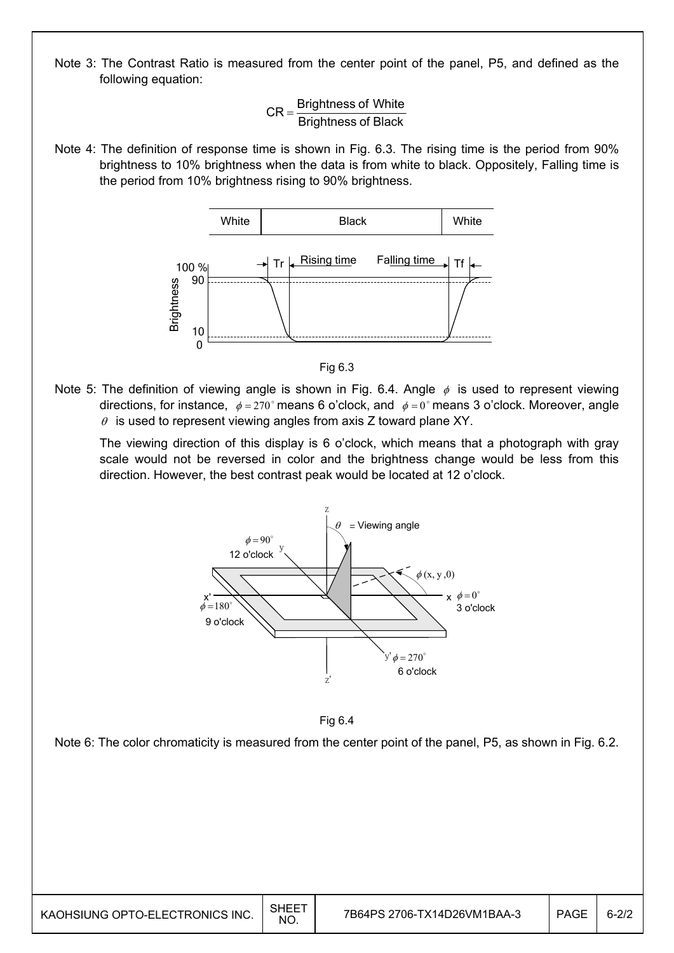Note 3: The Contrast Ratio is measured from the center point of the panel, P5, and defined as the following equation:

> Brightness of Black  $CR =$ Brightness of White

Note 4: The definition of response time is shown in Fig. 6.3. The rising time is the period from 90% brightness to 10% brightness when the data is from white to black. Oppositely, Falling time is the period from 10% brightness rising to 90% brightness.





Note 5: The definition of viewing angle is shown in Fig. 6.4. Angle  $\phi$  is used to represent viewing directions, for instance,  $\phi = 270^\circ$  means 6 o'clock, and  $\phi = 0^\circ$  means 3 o'clock. Moreover, angle  $\theta$  is used to represent viewing angles from axis Z toward plane XY.

 The viewing direction of this display is 6 o'clock, which means that a photograph with gray scale would not be reversed in color and the brightness change would be less from this direction. However, the best contrast peak would be located at 12 o'clock.





Note 6: The color chromaticity is measured from the center point of the panel, P5, as shown in Fig. 6.2.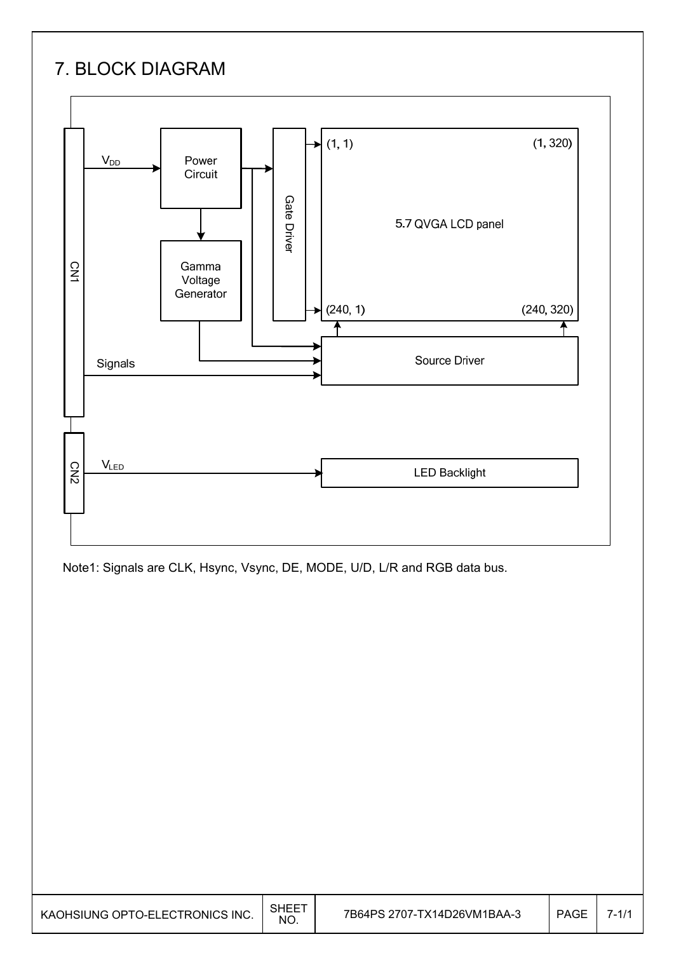# 7. BLOCK DIAGRAM



Note1: Signals are CLK, Hsync, Vsync, DE, MODE, U/D, L/R and RGB data bus.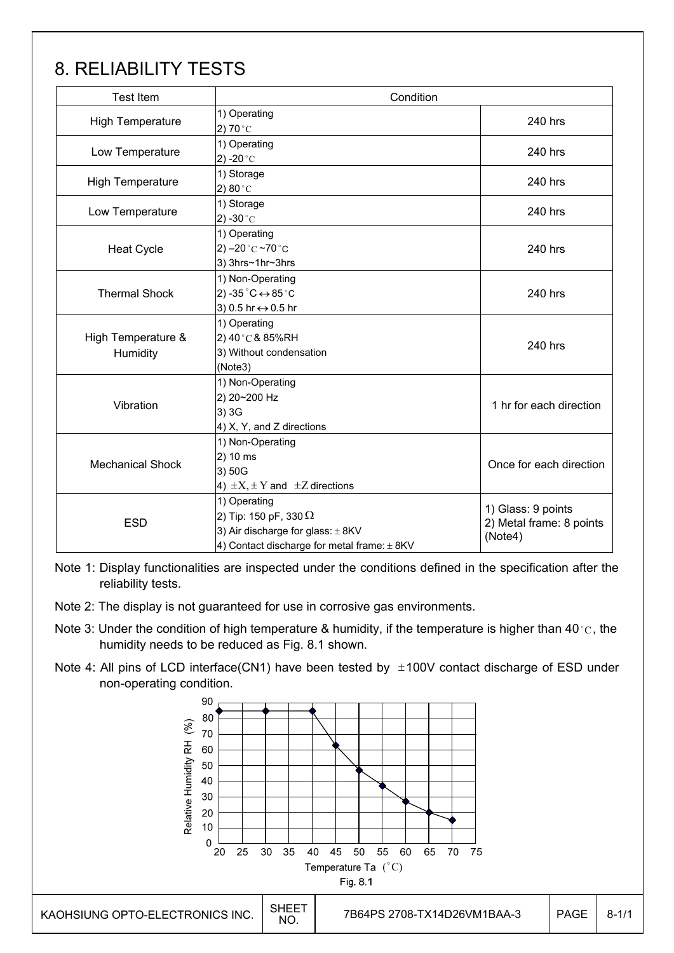# 8. RELIABILITY TESTS

| <b>Test Item</b>               | Condition                                                                                                                                |                                                           |  |  |  |
|--------------------------------|------------------------------------------------------------------------------------------------------------------------------------------|-----------------------------------------------------------|--|--|--|
| <b>High Temperature</b>        | 1) Operating<br>2) 70 $^{\circ}$ C                                                                                                       | 240 hrs                                                   |  |  |  |
| Low Temperature                | 1) Operating<br>2) -20 $^{\circ}$ C                                                                                                      | 240 hrs                                                   |  |  |  |
| <b>High Temperature</b>        | 1) Storage<br>2) 80 $^{\circ}$ C                                                                                                         | 240 hrs                                                   |  |  |  |
| Low Temperature                | 1) Storage<br>2) -30 $^{\circ}$ C                                                                                                        | 240 hrs                                                   |  |  |  |
| <b>Heat Cycle</b>              | 1) Operating<br>2) $-20$ °C $-70$ °C<br>3) 3hrs~1hr~3hrs                                                                                 | 240 hrs                                                   |  |  |  |
| <b>Thermal Shock</b>           | 1) Non-Operating<br>2) -35 $^{\circ}$ C $\leftrightarrow$ 85 $^{\circ}$ C<br>3) 0.5 hr ↔ 0.5 hr                                          | 240 hrs                                                   |  |  |  |
| High Temperature &<br>Humidity | 1) Operating<br>2) 40°C& 85%RH<br>3) Without condensation<br>(Note3)                                                                     | 240 hrs                                                   |  |  |  |
| Vibration                      | 1) Non-Operating<br>2) 20~200 Hz<br>3) 3G<br>4) X, Y, and Z directions                                                                   | 1 hr for each direction                                   |  |  |  |
| <b>Mechanical Shock</b>        | 1) Non-Operating<br>2) 10 ms<br>3) 50G<br>4) $\pm X$ , $\pm Y$ and $\pm Z$ directions                                                    | Once for each direction                                   |  |  |  |
| <b>ESD</b>                     | 1) Operating<br>2) Tip: 150 pF, 330 $\Omega$<br>3) Air discharge for glass: $\pm$ 8KV<br>4) Contact discharge for metal frame: $\pm$ 8KV | 1) Glass: 9 points<br>2) Metal frame: 8 points<br>(Note4) |  |  |  |

Note 1: Display functionalities are inspected under the conditions defined in the specification after the reliability tests.

- Note 2: The display is not guaranteed for use in corrosive gas environments.
- Note 3: Under the condition of high temperature & humidity, if the temperature is higher than 40 °C, the humidity needs to be reduced as Fig. 8.1 shown.
- Note 4: All pins of LCD interface(CN1) have been tested by  $\pm 100V$  contact discharge of ESD under non-operating condition.

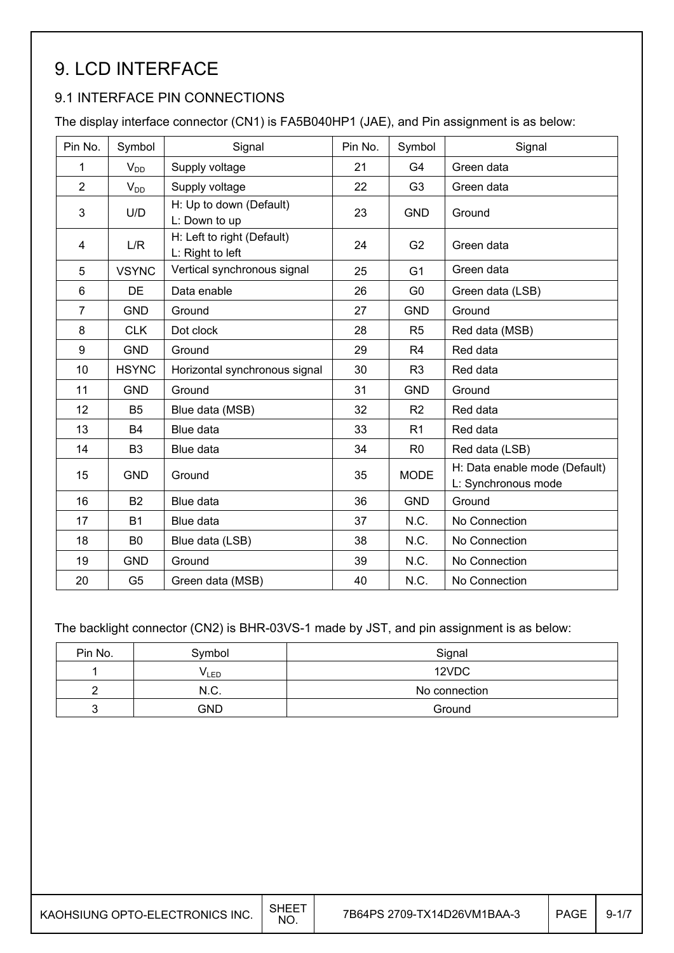# 9. LCD INTERFACE

### 9.1 INTERFACE PIN CONNECTIONS

The display interface connector (CN1) is FA5B040HP1 (JAE), and Pin assignment is as below:

| Pin No.        | Symbol         | Signal                                         | Pin No. | Symbol         | Signal                                               |
|----------------|----------------|------------------------------------------------|---------|----------------|------------------------------------------------------|
| 1              | $V_{DD}$       | Supply voltage                                 | 21      | G4             | Green data                                           |
| $\overline{2}$ | $V_{DD}$       | Supply voltage                                 | 22      | G <sub>3</sub> | Green data                                           |
| 3              | U/D            | H: Up to down (Default)<br>L: Down to up       | 23      | <b>GND</b>     | Ground                                               |
| 4              | L/R            | H: Left to right (Default)<br>L: Right to left | 24      | G <sub>2</sub> | Green data                                           |
| 5              | <b>VSYNC</b>   | Vertical synchronous signal                    | 25      | G <sub>1</sub> | Green data                                           |
| $6\phantom{1}$ | <b>DE</b>      | Data enable                                    | 26      | G <sub>0</sub> | Green data (LSB)                                     |
| 7              | <b>GND</b>     | Ground                                         | 27      | <b>GND</b>     | Ground                                               |
| 8              | <b>CLK</b>     | Dot clock                                      | 28      | R <sub>5</sub> | Red data (MSB)                                       |
| 9              | <b>GND</b>     | Ground                                         | 29      | R <sub>4</sub> | Red data                                             |
| 10             | <b>HSYNC</b>   | Horizontal synchronous signal                  | 30      | R <sub>3</sub> | Red data                                             |
| 11             | <b>GND</b>     | Ground                                         | 31      | <b>GND</b>     | Ground                                               |
| 12             | B <sub>5</sub> | Blue data (MSB)                                | 32      | R <sub>2</sub> | Red data                                             |
| 13             | <b>B4</b>      | Blue data                                      | 33      | R <sub>1</sub> | Red data                                             |
| 14             | B <sub>3</sub> | Blue data                                      | 34      | R <sub>0</sub> | Red data (LSB)                                       |
| 15             | <b>GND</b>     | Ground                                         | 35      | <b>MODE</b>    | H: Data enable mode (Default)<br>L: Synchronous mode |
| 16             | <b>B2</b>      | Blue data                                      | 36      | <b>GND</b>     | Ground                                               |
| 17             | <b>B1</b>      | Blue data                                      | 37      | N.C.           | No Connection                                        |
| 18             | B <sub>0</sub> | Blue data (LSB)                                | 38      | N.C.           | No Connection                                        |
| 19             | <b>GND</b>     | Ground                                         | 39      | N.C.           | No Connection                                        |
| 20             | G <sub>5</sub> | Green data (MSB)                               | 40      | N.C.           | No Connection                                        |

The backlight connector (CN2) is BHR-03VS-1 made by JST, and pin assignment is as below:

| Pin No. | Symbol           | Signal        |
|---------|------------------|---------------|
|         | V <sub>LED</sub> | 12VDC         |
|         | N.C.             | No connection |
|         | GND              | Ground        |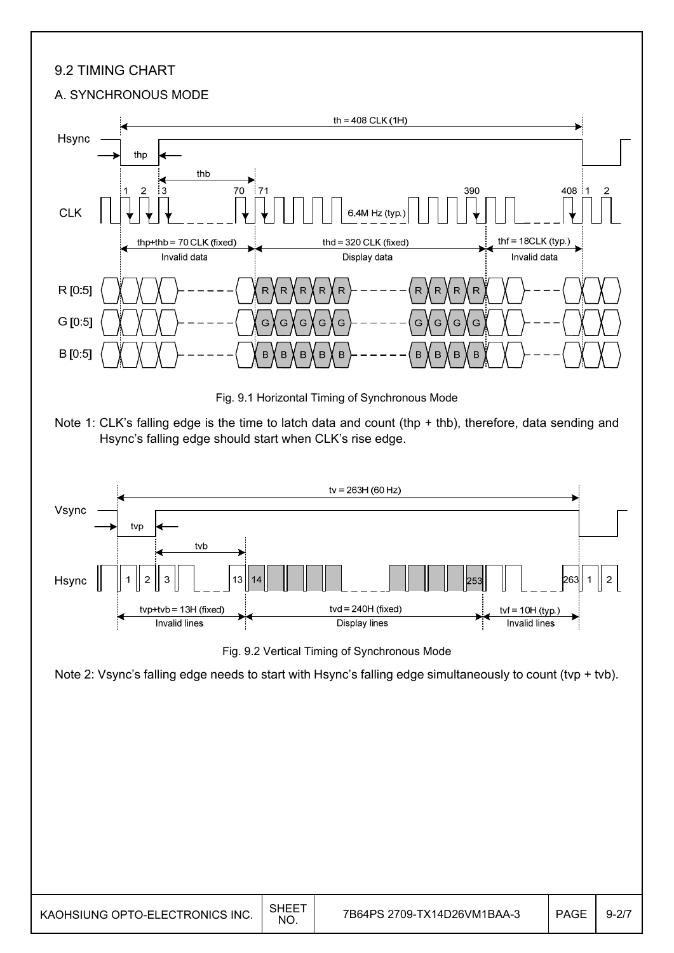### 9.2 TIMING CHART

#### A. SYNCHRONOUS MODE



KAOHSIUNG OPTO-ELECTRONICS INC.  $\Big|\begin{array}{cc} \text{SHEET} \ \text{NO} \end{array}\Big|$ 7B64PS 2709-TX14D26VM1BAA-3 PAGE 9-2/7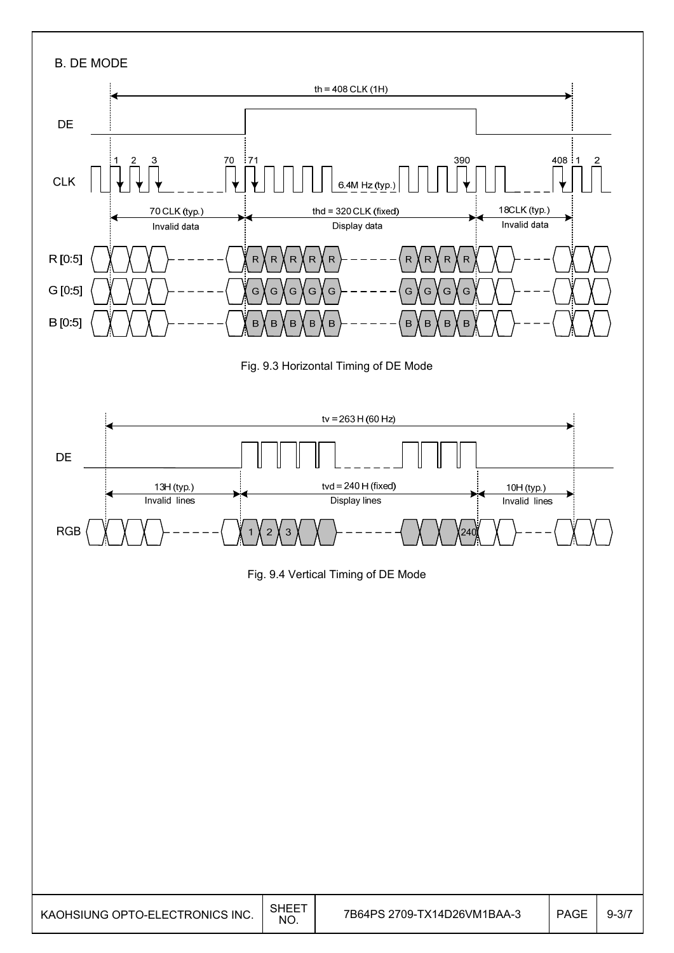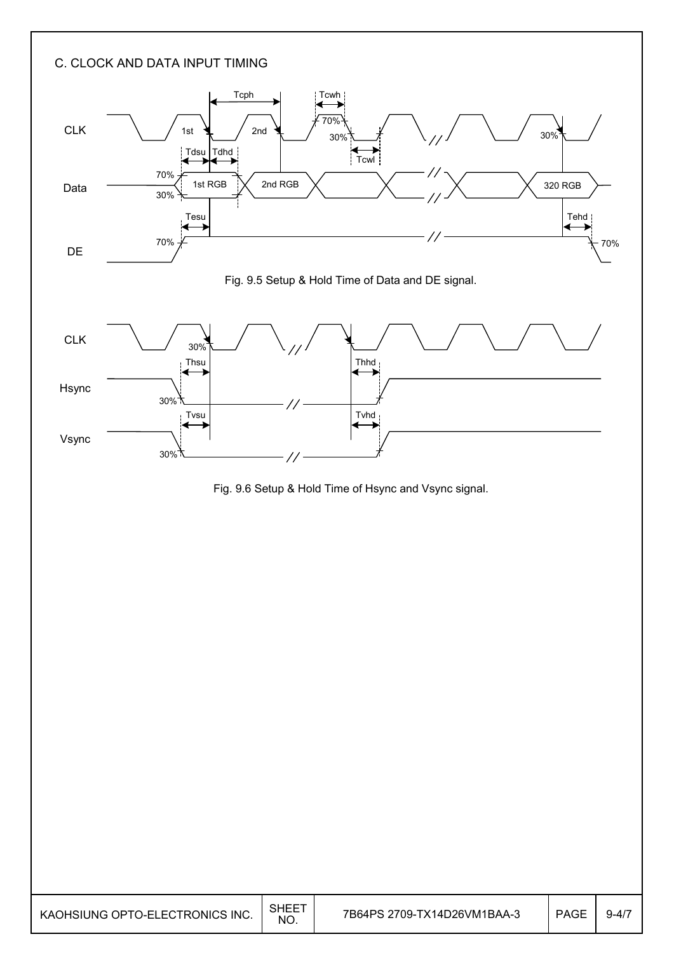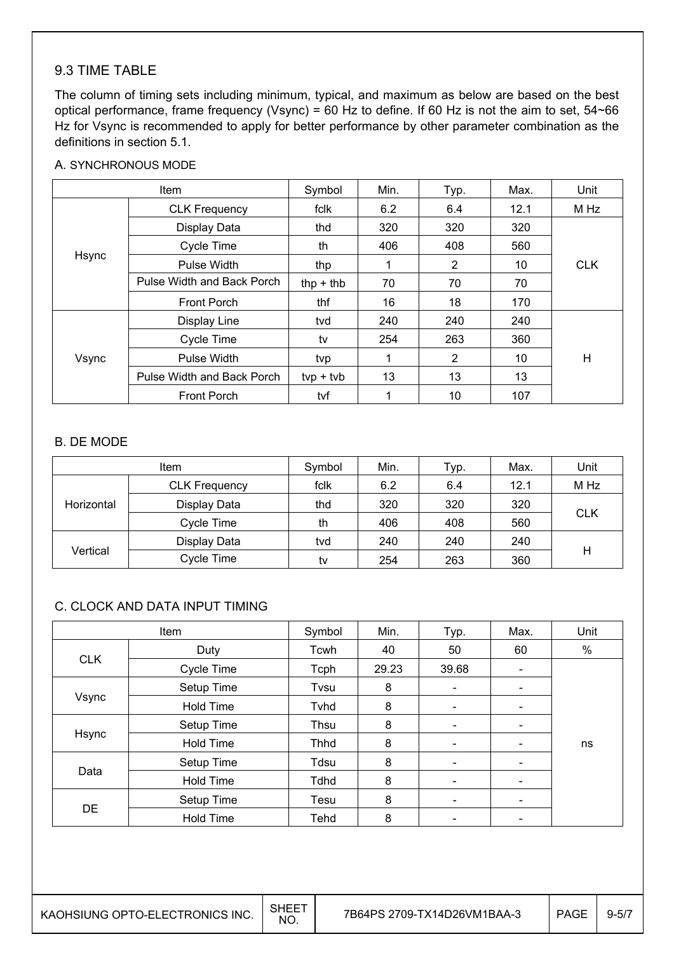### 9.3 TIME TABLE

The column of timing sets including minimum, typical, and maximum as below are based on the best optical performance, frame frequency (Vsync) = 60 Hz to define. If 60 Hz is not the aim to set, 54~66 Hz for Vsync is recommended to apply for better performance by other parameter combination as the definitions in section 5.1.

#### A. SYNCHRONOUS MODE

|       | Item                       | Symbol      | Min. | Typ. | Max. | Unit       |
|-------|----------------------------|-------------|------|------|------|------------|
|       | <b>CLK Frequency</b>       | fclk        | 6.2  | 6.4  | 12.1 | M Hz       |
|       | Display Data               | thd         | 320  | 320  | 320  |            |
|       | Cycle Time                 | th          | 406  | 408  | 560  |            |
| Hsync | <b>Pulse Width</b>         | thp         | 1    | 2    | 10   | <b>CLK</b> |
|       | Pulse Width and Back Porch | thp $+$ thb | 70   | 70   | 70   |            |
|       | Front Porch                | thf         | 16   | 18   | 170  |            |
| Vsync | Display Line               | tvd         | 240  | 240  | 240  |            |
|       | Cycle Time                 | tv          | 254  | 263  | 360  |            |
|       | Pulse Width                | tvp         | 1    | 2    | 10   | Н          |
|       | Pulse Width and Back Porch | $typ + tvb$ | 13   | 13   | 13   |            |
|       | <b>Front Porch</b>         | tvf         |      | 10   | 107  |            |

#### B. DE MODE

| ltem       |                      | Symbol | Min. | Typ. | Max. | Unit       |
|------------|----------------------|--------|------|------|------|------------|
|            | <b>CLK Frequency</b> | fclk   | 6.2  | 6.4  | 12.1 | M Hz       |
| Horizontal | Display Data         | thd    | 320  | 320  | 320  |            |
|            | Cycle Time           | th     | 406  | 408  | 560  | <b>CLK</b> |
|            | Display Data         | tvd    | 240  | 240  | 240  |            |
| Vertical   | Cycle Time           | tv     | 254  | 263  | 360  | н          |

#### C. CLOCK AND DATA INPUT TIMING

|            | Item             | Symbol      | Min.  | Typ.                     | Max.                     | Unit |
|------------|------------------|-------------|-------|--------------------------|--------------------------|------|
|            | Duty             | Tcwh        | 40    | 50                       | 60                       | $\%$ |
| <b>CLK</b> | Cycle Time       | Tcph        | 29.23 | 39.68                    |                          |      |
|            | Setup Time       | Tvsu        | 8     | $\overline{\phantom{a}}$ | $\overline{\phantom{a}}$ |      |
| Vsync      | <b>Hold Time</b> | Tvhd        | 8     | $\overline{\phantom{a}}$ | $\overline{\phantom{a}}$ |      |
|            | Setup Time       | Thsu        | 8     | -                        |                          |      |
| Hsync      | <b>Hold Time</b> | <b>Thhd</b> | 8     | $\overline{\phantom{0}}$ |                          | ns   |
|            | Setup Time       | Tdsu        | 8     | $\overline{\phantom{a}}$ | $\overline{\phantom{0}}$ |      |
| Data       | <b>Hold Time</b> | <b>Tdhd</b> | 8     | $\overline{\phantom{a}}$ | $\overline{\phantom{a}}$ |      |
|            | Setup Time       | Tesu        | 8     | ٠                        |                          |      |
| <b>DE</b>  | <b>Hold Time</b> | Tehd        | 8     | $\overline{\phantom{0}}$ |                          |      |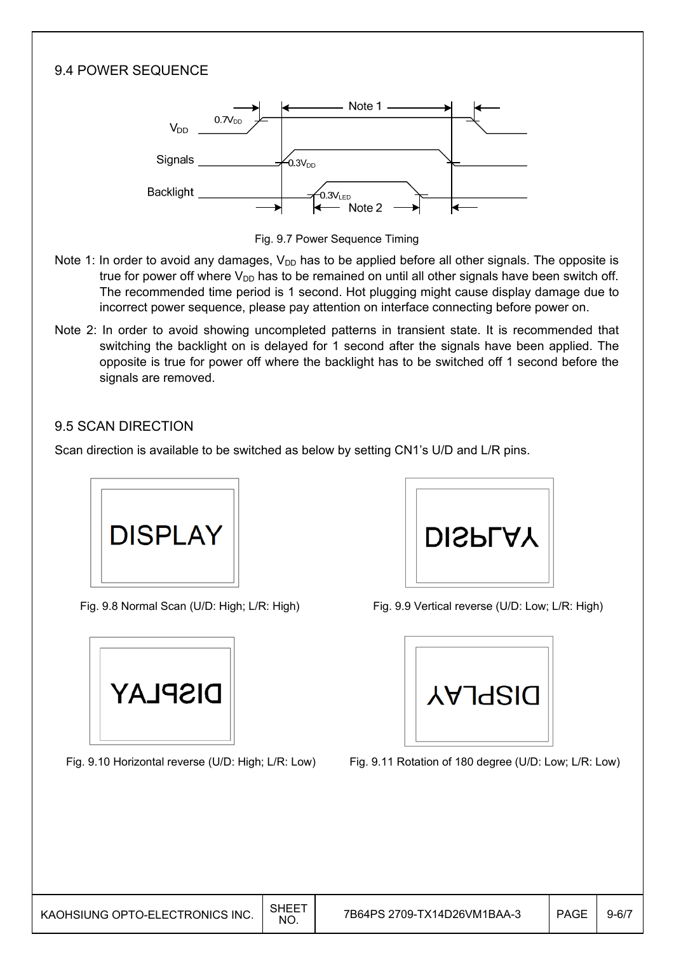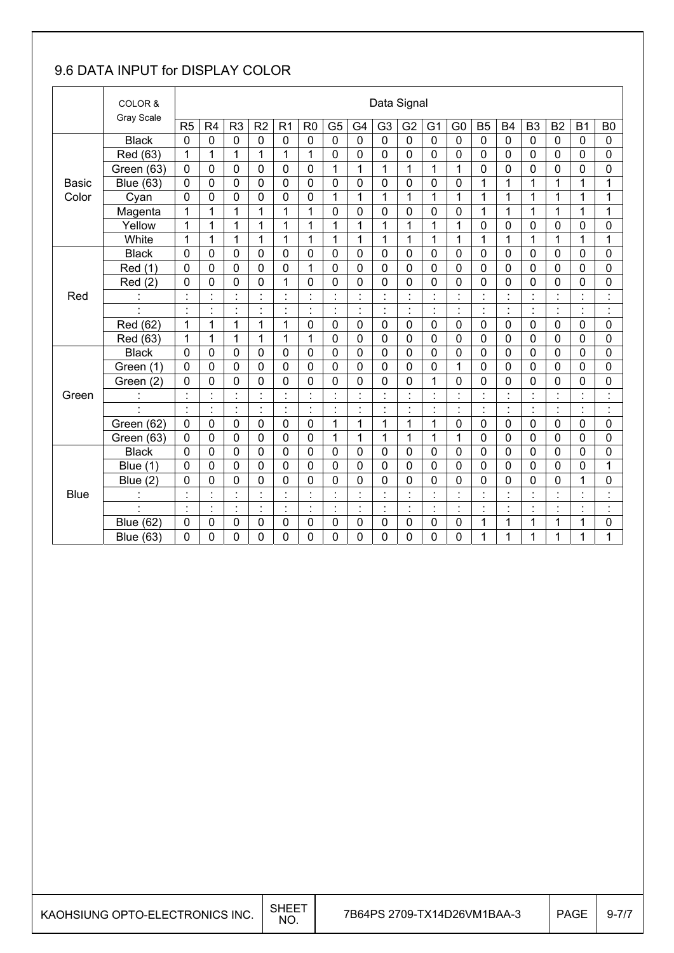### 9.6 DATA INPUT for DISPLAY COLOR

|              | COLOR &              |                |                |                |                      |                |                |                      |                |                          | Data Signal    |                |                                  |                      |                |                |                |                |                    |
|--------------|----------------------|----------------|----------------|----------------|----------------------|----------------|----------------|----------------------|----------------|--------------------------|----------------|----------------|----------------------------------|----------------------|----------------|----------------|----------------|----------------|--------------------|
|              | <b>Gray Scale</b>    | R5             | R4             | R <sub>3</sub> | R <sub>2</sub>       | R <sub>1</sub> | R <sub>0</sub> | G <sub>5</sub>       | G <sub>4</sub> | G <sub>3</sub>           | G <sub>2</sub> | G <sub>1</sub> | G <sub>0</sub>                   | <b>B5</b>            | <b>B4</b>      | B <sub>3</sub> | B <sub>2</sub> | B <sub>1</sub> | B <sub>0</sub>     |
|              | <b>Black</b>         | $\mathbf 0$    | $\mathbf 0$    | $\mathbf 0$    | $\mathbf 0$          | $\mathbf 0$    | $\mathbf 0$    | $\mathbf 0$          | $\mathbf 0$    | $\mathbf 0$              | $\mathbf 0$    | 0              | $\mathbf 0$                      | $\mathbf 0$          | $\mathbf 0$    | $\mathbf 0$    | 0              | $\mathbf 0$    | $\mathbf 0$        |
|              | Red (63)             | 1              | 1              | $\mathbf{1}$   | 1                    | 1              | 1              | 0                    | $\mathbf 0$    | 0                        | 0              | 0              | 0                                | $\mathbf 0$          | $\mathbf 0$    | 0              | 0              | 0              | 0                  |
|              | Green (63)           | $\mathbf 0$    | $\mathbf 0$    | 0              | 0                    | $\mathbf 0$    | $\mathbf 0$    | 1                    | $\mathbf{1}$   | $\mathbf{1}$             | 1              | 1              | $\mathbf{1}$                     | $\mathbf 0$          | $\mathbf 0$    | 0              | 0              | 0              | 0                  |
| <b>Basic</b> | <b>Blue (63)</b>     | $\mathbf 0$    | 0              | 0              | 0                    | 0              | 0              | 0                    | $\mathbf 0$    | $\overline{0}$           | $\mathbf 0$    | 0              | 0                                | 1                    | 1              | 1              | 1              | 1              | 1                  |
| Color        | Cyan                 | $\mathbf 0$    | 0              | $\mathbf 0$    | 0                    | 0              | 0              | 1                    | 1              | 1                        | 1              | 1              | 1                                | 1                    | 1              | 1              | 1              | 1              | 1                  |
|              | Magenta              | 1              | 1              | 1              | 1                    | 1              | 1              | 0                    | $\mathbf 0$    | 0                        | $\mathbf 0$    | 0              | $\mathbf 0$                      | 1                    | 1              | 1              | 1              | 1              | 1                  |
|              | Yellow               | 1              | 1              | 1              | $\mathbf{1}$         | 1              | 1              | 1                    | 1              | 1                        | $\overline{1}$ | 1              | $\mathbf{1}$                     | $\mathbf 0$          | $\mathbf 0$    | 0              | 0              | 0              | 0                  |
|              | White                | 1              | 1              | $\mathbf 1$    | $\mathbf{1}$         | $\mathbf{1}$   | 1              | 1                    | 1              | $\mathbf{1}$             | $\mathbf{1}$   | 1              | $\mathbf{1}$                     | $\mathbf{1}$         | 1              | 1              | 1              | $\mathbf{1}$   | 1                  |
|              | <b>Black</b>         | 0              | 0              | $\mathbf 0$    | 0                    | $\mathbf 0$    | $\mathbf 0$    | 0                    | $\mathbf 0$    | 0                        | $\mathbf 0$    | 0              | $\mathbf 0$                      | $\mathbf 0$          | $\mathbf 0$    | 0              | 0              | 0              | 0                  |
|              | Red (1)              | 0              | 0              | $\mathbf 0$    | 0                    | 0              | 1              | 0                    | $\mathbf 0$    | $\Omega$                 | $\overline{0}$ | 0              | 0                                | $\mathbf 0$          | $\mathbf 0$    | $\mathbf{0}$   | 0              | 0              | $\mathbf 0$        |
|              | Red(2)               | 0              | 0              | 0              | 0                    | 1              | 0              | 0                    | $\mathbf 0$    | 0                        | 0              | 0              | 0                                | $\mathbf 0$          | $\mathbf 0$    | $\mathbf 0$    | 0              | 0              | 0                  |
| Red          | $\ddot{\cdot}$       | $\blacksquare$ | İ              | $\blacksquare$ | $\cdot$              | $\cdot$        | $\blacksquare$ | $\blacksquare$<br>×, | $\cdot$        | $\cdot$                  | $\blacksquare$ | $\cdot$        | $\blacksquare$<br>×,             | $\blacksquare$<br>×, | $\cdot$        | $\blacksquare$ | $\blacksquare$ | $\cdot$        | $\cdot$<br>$\cdot$ |
|              | $\blacksquare$       | $\blacksquare$ | $\blacksquare$ | $\blacksquare$ | $\blacksquare$<br>×, | $\cdot$        | ×,             | $\cdot$<br>$\bullet$ | $\blacksquare$ | $\blacksquare$           | $\blacksquare$ | $\blacksquare$ | $\blacksquare$                   | $\blacksquare$       | $\cdot$        | $\blacksquare$ | $\blacksquare$ | $\cdot$        | $\cdot$<br>J.      |
|              | Red (62)             | 1              | 1              | $\mathbf{1}$   | $\mathbf{1}$         | $\mathbf{1}$   | $\mathbf 0$    | 0                    | $\mathbf 0$    | 0                        | $\mathbf 0$    | $\mathbf 0$    | $\mathbf 0$                      | $\mathbf 0$          | $\mathbf 0$    | $\mathbf 0$    | 0              | 0              | $\mathbf 0$        |
|              | Red (63)             | 1              | 1              | 1              | 1                    | 1              | 1              | 0                    | $\mathbf 0$    | 0                        | 0              | 0              | 0                                | $\mathbf{0}$         | $\mathbf 0$    | $\mathbf 0$    | 0              | 0              | 0                  |
|              | <b>Black</b>         | $\mathbf 0$    | $\mathbf 0$    | $\mathbf 0$    | 0                    | $\mathbf 0$    | $\mathbf 0$    | 0                    | $\mathbf 0$    | 0                        | $\mathbf 0$    | $\mathbf 0$    | $\mathbf 0$                      | $\mathbf 0$          | $\mathbf 0$    | $\mathbf 0$    | $\mathbf 0$    | $\mathbf 0$    | $\mathbf 0$        |
|              | Green (1)            | 0              | 0              | $\mathbf 0$    | 0                    | $\mathbf 0$    | $\mathbf 0$    | 0                    | $\mathbf 0$    | $\Omega$                 | $\mathbf 0$    | 0              | 1                                | $\mathbf 0$          | $\mathbf 0$    | 0              | 0              | 0              | 0                  |
|              | Green (2)            | 0              | 0              | 0              | 0                    | 0              | 0              | 0                    | $\mathbf 0$    | 0                        | 0              | 1              | 0                                | $\mathbf 0$          | 0              | 0              | 0              | 0              | 0                  |
| Green        | $\ddot{\phantom{a}}$ |                | $\ddot{\cdot}$ | t              |                      |                |                | $\ddot{\cdot}$       |                |                          | t              | $\cdot$        | $\overline{\phantom{a}}$         | ÷                    |                |                |                |                | $\ddot{\cdot}$     |
|              | $\blacksquare$       | $\ddot{\cdot}$ | Ì.             | ł,             | $\ddot{\cdot}$       | $\ddot{\cdot}$ | $\ddot{\cdot}$ | Ì.                   | ÷,             | $\blacksquare$           | ÷              | $\cdot$        | $\ddot{\phantom{a}}$             | ċ                    | $\blacksquare$ | $\blacksquare$ | ł,             | $\cdot$        | $\ddot{\cdot}$     |
|              | Green (62)           | $\mathbf 0$    | 0              | 0              | 0                    | 0              | $\mathbf 0$    | 1                    | 1              | 1                        | 1              | 1              | 0                                | $\mathbf 0$          | $\mathbf 0$    | 0              | $\mathbf 0$    | 0              | 0                  |
|              | Green (63)           | 0              | 0              | $\mathbf 0$    | 0                    | $\mathbf 0$    | $\mathbf 0$    | 1                    | 1              | 1                        | 1              | 1              | 1                                | 0                    | 0              | 0              | 0              | 0              | 0                  |
|              | <b>Black</b>         | $\overline{0}$ | 0              | $\overline{0}$ | $\overline{0}$       | 0              | $\overline{0}$ | 0                    | $\overline{0}$ | $\overline{0}$           | $\mathbf 0$    | 0              | 0                                | $\overline{0}$       | $\overline{0}$ | $\overline{0}$ | 0              | 0              | 0                  |
|              | Blue (1)             | $\mathbf 0$    | 0              | 0              | 0                    | 0              | 0              | 0                    | $\mathbf 0$    | 0                        | $\mathbf 0$    | 0              | $\mathbf 0$                      | $\mathbf 0$          | $\mathbf 0$    | $\mathbf 0$    | 0              | 0              | 1                  |
|              | (2)<br><b>Blue</b>   | 0              | 0              | $\overline{0}$ | 0                    | 0              | 0              | 0                    | $\mathbf 0$    | $\overline{0}$           | $\mathbf 0$    | 0              | 0                                | $\mathbf 0$          | $\overline{0}$ | 0              | 0              | 1              | 0                  |
| <b>Blue</b>  |                      | $\blacksquare$ | $\blacksquare$ | $\blacksquare$ | $\cdot$              |                | ä,             | $\blacksquare$<br>٠  | $\cdot$        |                          | $\blacksquare$ | $\cdot$        | $\blacksquare$<br>$\blacksquare$ | $\blacksquare$       |                | $\blacksquare$ | $\blacksquare$ | $\cdot$        | $\cdot$<br>ä,      |
|              | à.                   | $\blacksquare$ | ŀ,             | ċ,             | $\ddot{\cdot}$       | ÷,             | ÷,             | ÷,                   | ł,             | $\overline{\phantom{a}}$ | ł,             | ł,             | ł.                               | ä,                   | $\cdot$        | $\blacksquare$ | ł,             | $\blacksquare$ | $\ddot{\cdot}$     |
|              | <b>Blue (62)</b>     | $\mathbf 0$    | 0              | 0              | 0                    | 0              | 0              | 0                    | $\mathbf 0$    | 0                        | $\mathbf 0$    | 0              | 0                                | 1                    | 1              | 1              | 1              | 1              | 0                  |
|              | <b>Blue (63)</b>     | 0              | 0              | 0              | 0                    | 0              | 0              | 0                    | 0              | 0                        | 0              | 0              | 0                                | 1                    | 1              | 1              | 1              | 1              | 1                  |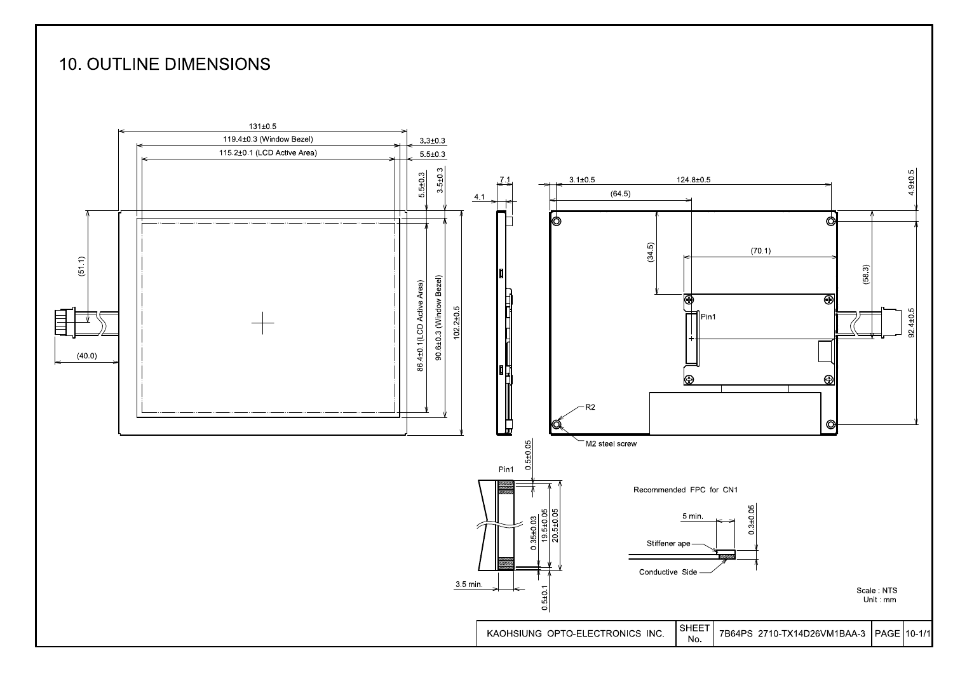### **10. OUTLINE DIMENSIONS**

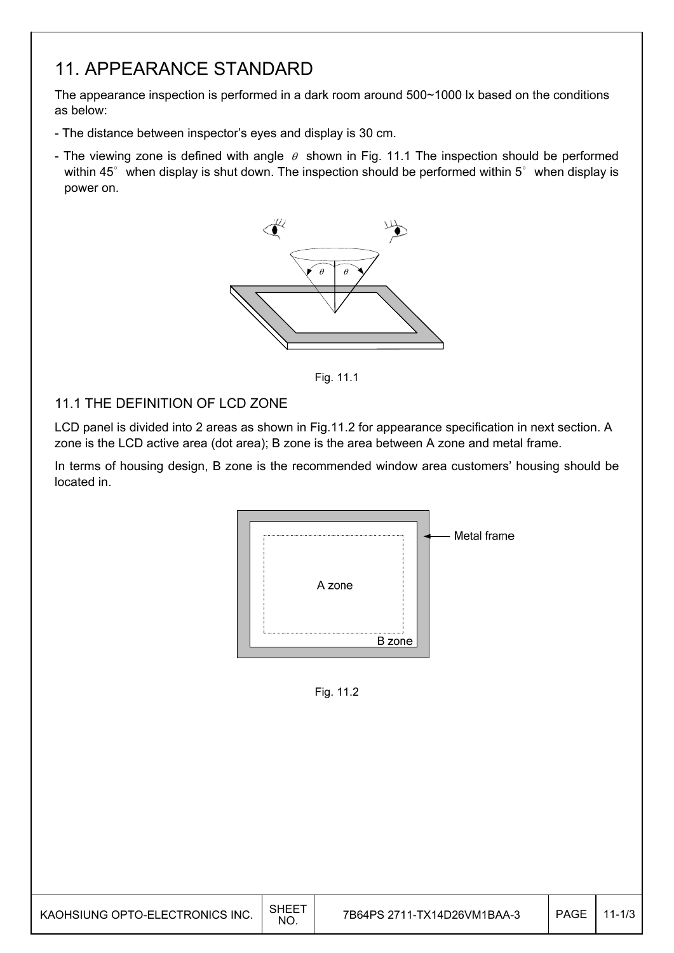## 11. APPEARANCE STANDARD

The appearance inspection is performed in a dark room around 500~1000 lx based on the conditions as below:

- The distance between inspector's eyes and display is 30 cm.
- The viewing zone is defined with angle  $\theta$  shown in Fig. 11.1 The inspection should be performed within 45 $^{\circ}$  when display is shut down. The inspection should be performed within 5 $^{\circ}$  when display is power on.



Fig. 11.1

### 11.1 THE DEFINITION OF LCD ZONE

LCD panel is divided into 2 areas as shown in Fig.11.2 for appearance specification in next section. A zone is the LCD active area (dot area); B zone is the area between A zone and metal frame.

In terms of housing design, B zone is the recommended window area customers' housing should be located in.



Fig. 11.2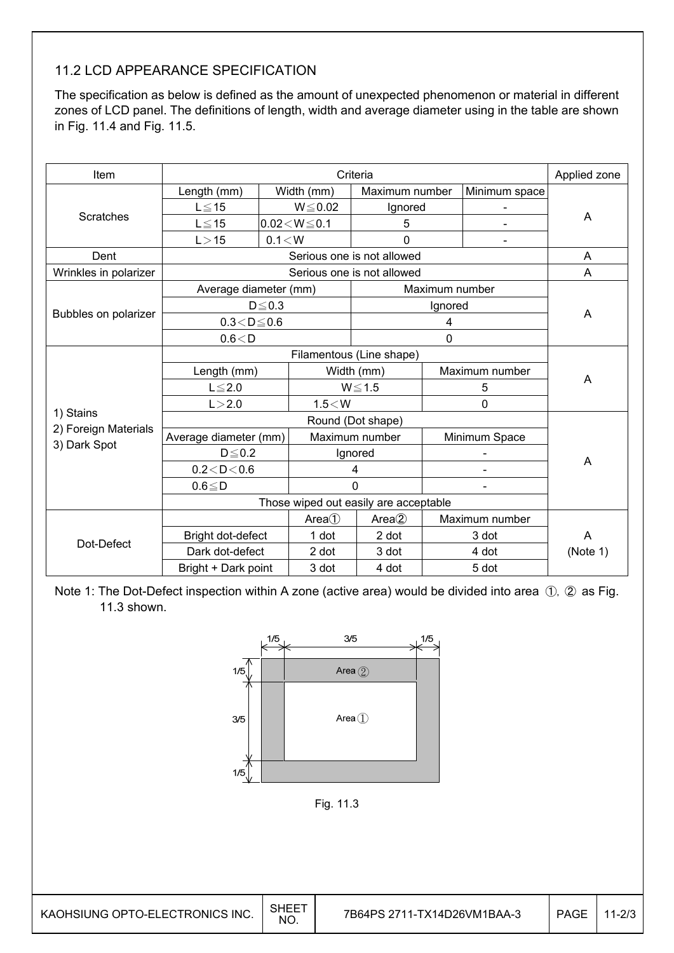### 11.2 LCD APPEARANCE SPECIFICATION

The specification as below is defined as the amount of unexpected phenomenon or material in different zones of LCD panel. The definitions of length, width and average diameter using in the table are shown in Fig. 11.4 and Fig. 11.5.

| Item                  |                                       | Applied zone |                              |                            |                |                |          |
|-----------------------|---------------------------------------|--------------|------------------------------|----------------------------|----------------|----------------|----------|
|                       | Length (mm)                           |              | Width (mm)<br>Maximum number |                            |                | Minimum space  |          |
|                       | $L \le 15$                            | $W \le 0.02$ |                              | Ignored                    |                |                |          |
| Scratches             | $L \leq 15$                           |              | $0.02\!<\!W\!\leq\!0.1$      | 5                          |                |                | A        |
|                       | L > 15                                | 0.1 < W      |                              | $\mathbf 0$                |                | $\blacksquare$ |          |
| Dent                  |                                       |              |                              | Serious one is not allowed |                |                | A        |
| Wrinkles in polarizer |                                       |              |                              | Serious one is not allowed |                |                | A        |
|                       | Average diameter (mm)                 |              |                              |                            | Maximum number |                |          |
|                       |                                       | $D \le 0.3$  |                              |                            | Ignored        |                |          |
| Bubbles on polarizer  | $0.3 < D \le 0.6$                     |              |                              | A                          |                |                |          |
|                       | 0.6 < D                               |              |                              |                            |                |                |          |
|                       |                                       |              |                              |                            |                |                |          |
|                       | Length (mm)                           |              |                              | Width (mm)                 |                | Maximum number |          |
|                       | $L \leq 2.0$                          |              |                              | $W \le 1.5$                |                | 5              | A        |
|                       | L > 2.0                               |              | 1.5 < W                      |                            |                | $\mathbf 0$    |          |
| 1) Stains             |                                       |              |                              |                            |                |                |          |
| 2) Foreign Materials  | Average diameter (mm)                 |              | Maximum number               |                            |                | Minimum Space  |          |
| 3) Dark Spot          | $D \leq 0.2$                          |              |                              | Ignored                    |                |                |          |
|                       | 0.2 < D < 0.6                         |              |                              | 4                          |                |                | A        |
|                       | $0.6 \leq D$                          |              |                              | $\Omega$                   |                |                |          |
|                       | Those wiped out easily are acceptable |              |                              |                            |                |                |          |
|                       |                                       |              | Area()                       | Area(2)                    |                | Maximum number |          |
| Dot-Defect            | Bright dot-defect                     |              | 1 dot                        | 2 dot                      |                | 3 dot          | A        |
|                       | Dark dot-defect                       |              | 2 dot                        | 3 dot                      |                | 4 dot          | (Note 1) |
|                       | Bright + Dark point                   |              | 3 dot                        | 4 dot                      |                | 5 dot          |          |

Note 1: The Dot-Defect inspection within A zone (active area) would be divided into area  $(1, 2)$  as Fig. 11.3 shown.



Fig. 11.3

| KAOHSIUNG OPTO-ELECTRONICS INC. | SHEE<br>NO. | 7B64PS 2711-TX14D26VM1BAA-3 | <b>PAGE</b> |  |
|---------------------------------|-------------|-----------------------------|-------------|--|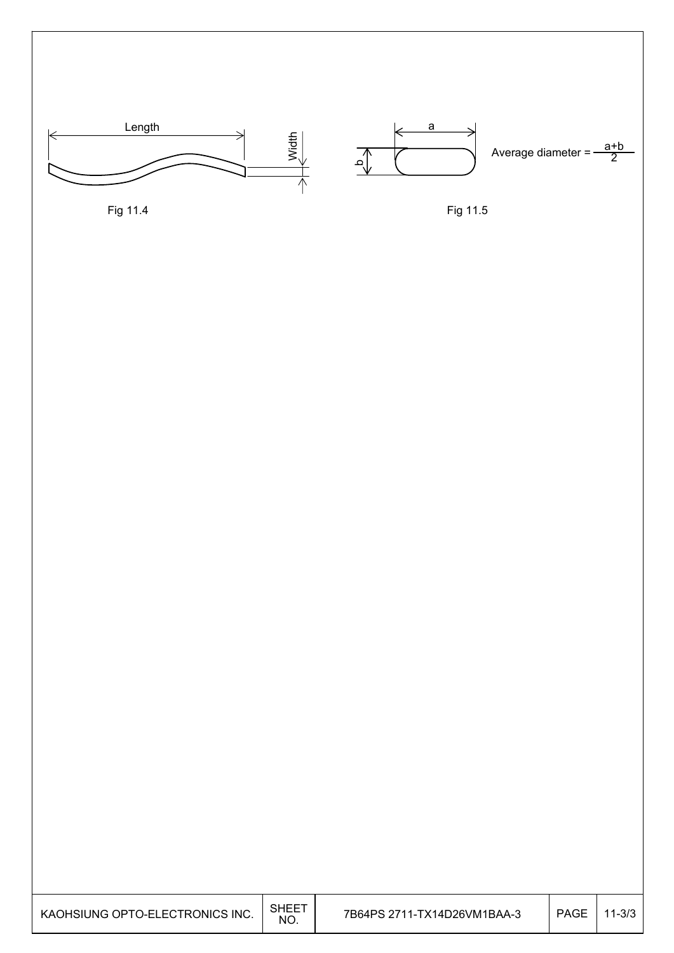

Fig 11.4

Fig 11.5

| KAOHSIUNG OPTO-ELECTRONICS INC. | <b>SHEET</b><br>NO. | 7B64PS 2711-TX14D26VM1BAA-3 | <b>PAGE</b> | $11 - 3/3$ |
|---------------------------------|---------------------|-----------------------------|-------------|------------|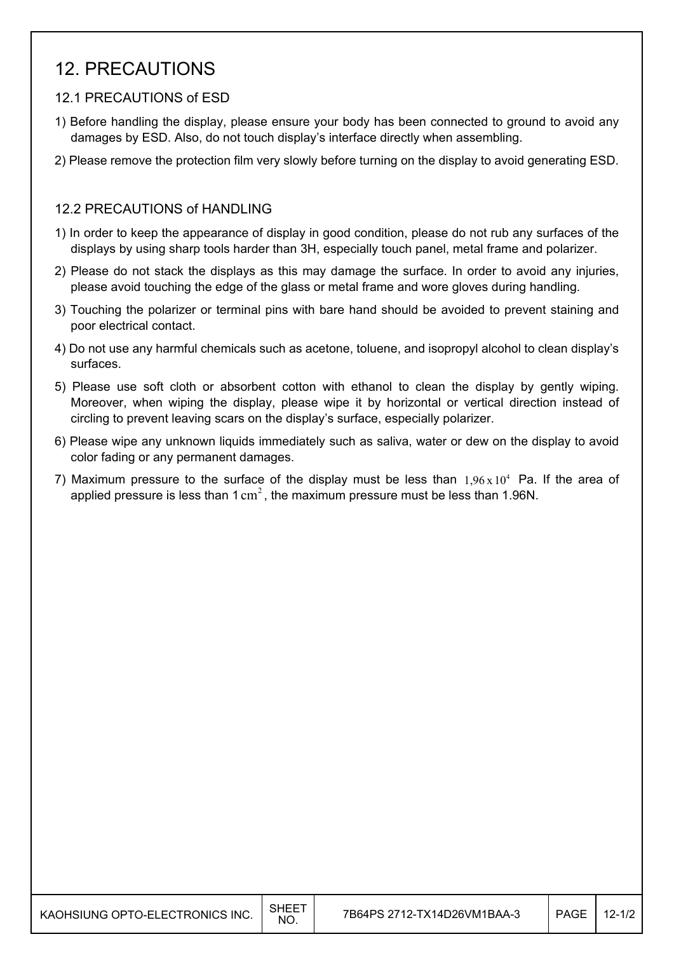## 12. PRECAUTIONS

#### 12.1 PRECAUTIONS of ESD

- 1) Before handling the display, please ensure your body has been connected to ground to avoid any damages by ESD. Also, do not touch display's interface directly when assembling.
- 2) Please remove the protection film very slowly before turning on the display to avoid generating ESD.

#### 12.2 PRECAUTIONS of HANDLING

- 1) In order to keep the appearance of display in good condition, please do not rub any surfaces of the displays by using sharp tools harder than 3H, especially touch panel, metal frame and polarizer.
- 2) Please do not stack the displays as this may damage the surface. In order to avoid any injuries, please avoid touching the edge of the glass or metal frame and wore gloves during handling.
- 3) Touching the polarizer or terminal pins with bare hand should be avoided to prevent staining and poor electrical contact.
- 4) Do not use any harmful chemicals such as acetone, toluene, and isopropyl alcohol to clean display's surfaces.
- 5) Please use soft cloth or absorbent cotton with ethanol to clean the display by gently wiping. Moreover, when wiping the display, please wipe it by horizontal or vertical direction instead of circling to prevent leaving scars on the display's surface, especially polarizer.
- 6) Please wipe any unknown liquids immediately such as saliva, water or dew on the display to avoid color fading or any permanent damages.
- 7) Maximum pressure to the surface of the display must be less than  $1.96 \times 10^4$  Pa. If the area of applied pressure is less than  $1 \text{ cm}^2$ , the maximum pressure must be less than 1.96N.

| KAOHSIUNG OPTO-ELECTRONICS INC. | SHEE<br><b>NO</b> | 7B64PS 2712-TX14D26VM1BAA-3 | PAGE | $12 - 1/2$ |
|---------------------------------|-------------------|-----------------------------|------|------------|
|---------------------------------|-------------------|-----------------------------|------|------------|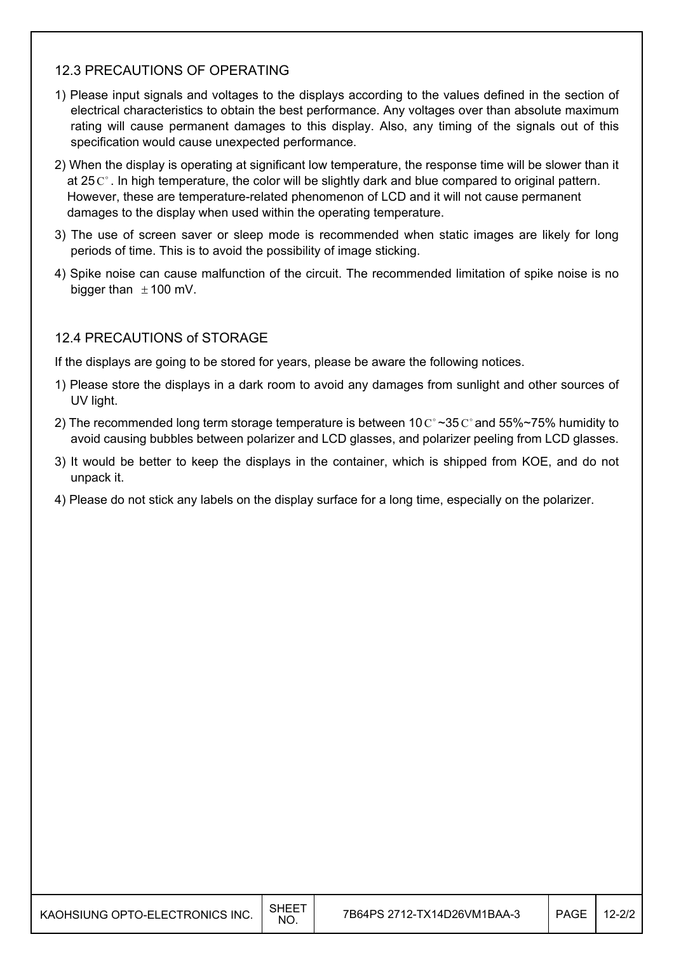### 12.3 PRECAUTIONS OF OPERATING

- 1) Please input signals and voltages to the displays according to the values defined in the section of electrical characteristics to obtain the best performance. Any voltages over than absolute maximum rating will cause permanent damages to this display. Also, any timing of the signals out of this specification would cause unexpected performance.
- 2) When the display is operating at significant low temperature, the response time will be slower than it at  $25^\circ$ . In high temperature, the color will be slightly dark and blue compared to original pattern. However, these are temperature-related phenomenon of LCD and it will not cause permanent damages to the display when used within the operating temperature.
- 3) The use of screen saver or sleep mode is recommended when static images are likely for long periods of time. This is to avoid the possibility of image sticking.
- 4) Spike noise can cause malfunction of the circuit. The recommended limitation of spike noise is no bigger than  $\pm$  100 mV.

### 12.4 PRECAUTIONS of STORAGE

If the displays are going to be stored for years, please be aware the following notices.

- 1) Please store the displays in a dark room to avoid any damages from sunlight and other sources of UV light.
- 2) The recommended long term storage temperature is between 10  $\text{C}^{\circ}$  ~35  $\text{C}^{\circ}$  and 55%~75% humidity to avoid causing bubbles between polarizer and LCD glasses, and polarizer peeling from LCD glasses.
- 3) It would be better to keep the displays in the container, which is shipped from KOE, and do not unpack it.
- 4) Please do not stick any labels on the display surface for a long time, especially on the polarizer.

| KAOHSIUNG OPTO-ELECTRONICS INC. | <b>SHEET</b><br>NO. | 7B64PS 2712-TX14D26VM1BAA-3 | PAGE | $12 - 2/2$ |
|---------------------------------|---------------------|-----------------------------|------|------------|
|---------------------------------|---------------------|-----------------------------|------|------------|